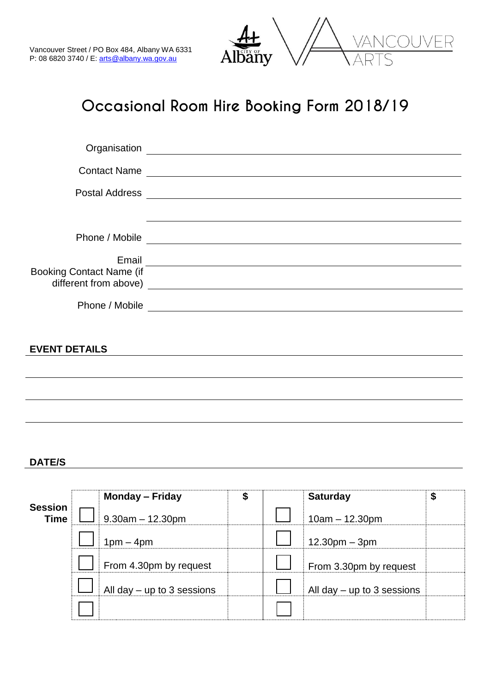

## **Occasional Room Hire Booking Form 2018/19**

|                                 | Organisation entrance and the contract of the contract of the contract of the contract of the contract of the contract of the contract of the contract of the contract of the contract of the contract of the contract of the  |
|---------------------------------|--------------------------------------------------------------------------------------------------------------------------------------------------------------------------------------------------------------------------------|
|                                 | Contact Name                                                                                                                                                                                                                   |
|                                 |                                                                                                                                                                                                                                |
|                                 | ,我们也不会有什么。""我们的人,我们也不会有什么?""我们的人,我们也不会有什么?""我们的人,我们也不会有什么?""我们的人,我们也不会有什么?""我们的人                                                                                                                                               |
|                                 |                                                                                                                                                                                                                                |
|                                 | Email Land Communication of the Communication of the Communication of the Communication of the Communication of the Communication of the Communication of the Communication of the Communication of the Communication of the C |
| <b>Booking Contact Name (if</b> |                                                                                                                                                                                                                                |
|                                 |                                                                                                                                                                                                                                |
|                                 |                                                                                                                                                                                                                                |
| <b>EVENT DETAILS</b>            |                                                                                                                                                                                                                                |
|                                 |                                                                                                                                                                                                                                |
|                                 |                                                                                                                                                                                                                                |
|                                 |                                                                                                                                                                                                                                |

## **DATE/S**

|                               | <b>Monday – Friday</b>       | \$ | <b>Saturday</b>              | \$ |
|-------------------------------|------------------------------|----|------------------------------|----|
| <b>Session</b><br><b>Time</b> | $9.30am - 12.30pm$           |    | $10am - 12.30pm$             |    |
|                               | $1pm - 4pm$                  |    | $12.30pm - 3pm$              |    |
|                               | From 4.30pm by request       |    | From 3.30pm by request       |    |
|                               | All day $-$ up to 3 sessions |    | All day $-$ up to 3 sessions |    |
|                               |                              |    |                              |    |